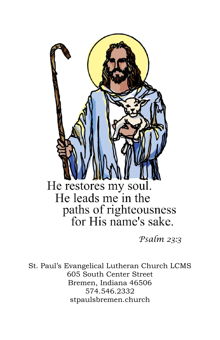

*Psalm 23:3*

St. Paul's Evangelical Lutheran Church LCMS 605 South Center Street Bremen, Indiana 46506 574.546.2332 stpaulsbremen.church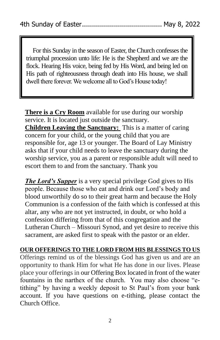For this Sunday in the season of Easter, the Church confesses the triumphal procession unto life: He is the Shepherd and we are the flock. Hearing His voice, being fed by His Word, and being led on His path of righteousness through death into His house, we shall dwell there forever. We welcome all to God's House today!

**There is a Cry Room** available for use during our worship service. It is located just outside the sanctuary. **Children Leaving the Sanctuary:** This is a matter of caring concern for your child, or the young child that you are responsible for, age 13 or younger. The Board of Lay Ministry asks that if your child needs to leave the sanctuary during the worship service, you as a parent or responsible adult will need to escort them to and from the sanctuary. Thank you

*The Lord's Supper* is a very special privilege God gives to His people. Because those who eat and drink our Lord's body and blood unworthily do so to their great harm and because the Holy Communion is a confession of the faith which is confessed at this altar, any who are not yet instructed, in doubt, or who hold a confession differing from that of this congregation and the Lutheran Church – Missouri Synod, and yet desire to receive this sacrament, are asked first to speak with the pastor or an elder.

**OUR OFFERINGS TO THE LORD FROM HIS BLESSINGS TO US** Offerings remind us of the blessings God has given us and are an opportunity to thank Him for what He has done in our lives. Please place your offerings in our Offering Box located in front of the water fountains in the narthex of the church. You may also choose "etithing" by having a weekly deposit to St Paul's from your bank account. If you have questions on e-tithing, please contact the Church Office.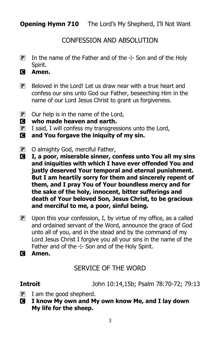**Opening Hymn 710** The Lord's My Shepherd, I'll Not Want

# CONFESSION AND ABSOLUTION

- **P** In the name of the Father and of the  $\pm$  Son and of the Holy Spirit.
- C **Amen.**
- $\mathbf{P}$  Beloved in the Lord! Let us draw near with a true heart and confess our sins unto God our Father, beseeching Him in the name of our Lord Jesus Christ to grant us forgiveness.
- $\overline{P}$  Our help is in the name of the Lord,
- C **who made heaven and earth.**
- $\mathbf{P}$  I said, I will confess my transgressions unto the Lord,
- C **and You forgave the iniquity of my sin.**
- P O almighty God, merciful Father,
- C **I, a poor, miserable sinner, confess unto You all my sins and iniquities with which I have ever offended You and justly deserved Your temporal and eternal punishment. But I am heartily sorry for them and sincerely repent of them, and I pray You of Your boundless mercy and for the sake of the holy, innocent, bitter sufferings and death of Your beloved Son, Jesus Christ, to be gracious and merciful to me, a poor, sinful being.**
- $\mathbf{P}$  Upon this your confession, I, by virtue of my office, as a called and ordained servant of the Word, announce the grace of God unto all of you, and in the stead and by the command of my Lord Jesus Christ I forgive you all your sins in the name of the Father and of the  $+$  Son and of the Holy Spirit.
- C **Amen.**

# SERVICE OF THE WORD

**Introit** John 10:14,15b; Psalm 78:70-72; 79:13

- $\mathbf{P}$  I am the good shepherd.
- C **I know My own and My own know Me, and I lay down My life for the sheep.**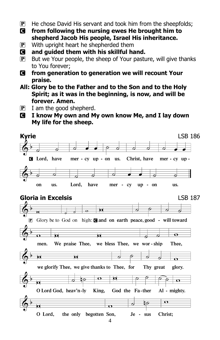- $\mathbf{P}$  He chose David His servant and took him from the sheepfolds;
- C **from following the nursing ewes He brought him to shepherd Jacob His people, Israel His inheritance.**
- P With upright heart he shepherded them
- C **and guided them with his skillful hand.**
- $\mathbf{P}$  But we Your people, the sheep of Your pasture, will give thanks to You forever;
- C **from generation to generation we will recount Your praise.**
- **All: Glory be to the Father and to the Son and to the Holy Spirit; as it was in the beginning, is now, and will be forever. Amen.**
- $\overline{P}$  I am the good shepherd.
- C **I know My own and My own know Me, and I lay down My life for the sheep.**

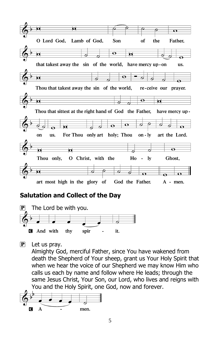

# **Salutation and Collect of the Day**



 $\left| \mathbf{P} \right|$  Let us pray.

Almighty God, merciful Father, since You have wakened from death the Shepherd of Your sheep, grant us Your Holy Spirit that when we hear the voice of our Shepherd we may know Him who calls us each by name and follow where He leads; through the same Jesus Christ, Your Son, our Lord, who lives and reigns with You and the Holy Spirit, one God, now and forever.

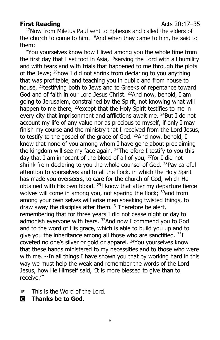### **First Reading** Acts 20:17–35

<sup>17</sup>Now from Miletus Paul sent to Ephesus and called the elders of the church to come to him. <sup>18</sup>And when they came to him, he said to them:

"You yourselves know how I lived among you the whole time from the first day that I set foot in Asia,  $19$ serving the Lord with all humility and with tears and with trials that happened to me through the plots of the Jews; <sup>20</sup>how I did not shrink from declaring to you anything that was profitable, and teaching you in public and from house to house, <sup>21</sup> testifying both to Jews and to Greeks of repentance toward God and of faith in our Lord Jesus Christ. <sup>22</sup>And now, behold, I am going to Jerusalem, constrained by the Spirit, not knowing what will happen to me there, <sup>23</sup>except that the Holy Spirit testifies to me in every city that imprisonment and afflictions await me. <sup>24</sup>But I do not account my life of any value nor as precious to myself, if only I may finish my course and the ministry that I received from the Lord Jesus, to testify to the gospel of the grace of God. <sup>25</sup>And now, behold, I know that none of you among whom I have gone about proclaiming the kingdom will see my face again. <sup>26</sup>Therefore I testify to you this day that I am innocent of the blood of all of you, <sup>27</sup>for I did not shrink from declaring to you the whole counsel of God. <sup>28</sup>Pay careful attention to yourselves and to all the flock, in which the Holy Spirit has made you overseers, to care for the church of God, which He obtained with His own blood. <sup>29</sup>I know that after my departure fierce wolves will come in among you, not sparing the flock; <sup>30</sup>and from among your own selves will arise men speaking twisted things, to draw away the disciples after them.  $31$ Therefore be alert, remembering that for three years I did not cease night or day to admonish everyone with tears. <sup>32</sup>And now I commend you to God and to the word of His grace, which is able to build you up and to give you the inheritance among all those who are sanctified.  $33I$ coveted no one's silver or gold or apparel. <sup>34</sup>You yourselves know that these hands ministered to my necessities and to those who were with me. <sup>35</sup>In all things I have shown you that by working hard in this way we must help the weak and remember the words of the Lord Jesus, how He Himself said, 'It is more blessed to give than to receive.'"

- $\overline{P}$  This is the Word of the Lord.
- C **Thanks be to God.**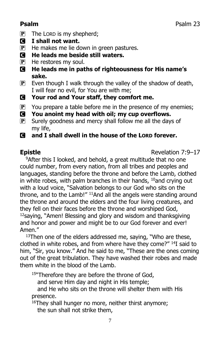- $\mathbf{P}$  The LORD is my shepherd;
- C **I shall not want.**
- $\mathbf{P}$  He makes me lie down in green pastures.
- C **He leads me beside still waters.**
- $\mathbf{P}$  He restores my soul.
- C **He leads me in paths of righteousness for His name's sake.**
- $\mathbf{P}$  Even though I walk through the valley of the shadow of death, I will fear no evil, for You are with me;
- C **Your rod and Your staff, they comfort me.**
- $\mathbf{P}$  You prepare a table before me in the presence of my enemies;
- C **You anoint my head with oil; my cup overflows.**
- $\mathbf{P}$  Surely goodness and mercy shall follow me all the days of my life,
- C **and I shall dwell in the house of the LORD forever.**

**Epistle** Revelation 7:9–17

<sup>9</sup>After this I looked, and behold, a great multitude that no one could number, from every nation, from all tribes and peoples and languages, standing before the throne and before the Lamb, clothed in white robes, with palm branches in their hands,  $10$  and crying out with a loud voice, "Salvation belongs to our God who sits on the throne, and to the Lamb!" <sup>11</sup>And all the angels were standing around the throne and around the elders and the four living creatures, and they fell on their faces before the throne and worshiped God,  $12$ saying, "Amen! Blessing and glory and wisdom and thanksgiving and honor and power and might be to our God forever and ever! Amen."

 $13$ Then one of the elders addressed me, saying, "Who are these, clothed in white robes, and from where have they come?" <sup>14</sup>I said to him, "Sir, you know." And he said to me, "These are the ones coming out of the great tribulation. They have washed their robes and made them white in the blood of the Lamb.

<sup>15"</sup>Therefore they are before the throne of God,

and serve Him day and night in His temple;

and He who sits on the throne will shelter them with His presence.

<sup>16</sup>They shall hunger no more, neither thirst anymore; the sun shall not strike them,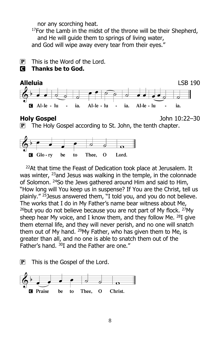nor any scorching heat.

 $17$ For the Lamb in the midst of the throne will be their Shepherd, and He will guide them to springs of living water, and God will wipe away every tear from their eyes."

 $\mathbf{P}$  This is the Word of the Lord.

### C **Thanks be to God.**



**Holy Gospel** John 10:22–30

**P** The Holy Gospel according to St. John, the tenth chapter.



 $22$ At that time the Feast of Dedication took place at Jerusalem. It was winter, <sup>23</sup>and Jesus was walking in the temple, in the colonnade of Solomon. <sup>24</sup>So the Jews gathered around Him and said to Him, "How long will You keep us in suspense? If You are the Christ, tell us plainly." <sup>25</sup>Jesus answered them, "I told you, and you do not believe. The works that I do in My Father's name bear witness about Me,  $26$ but you do not believe because you are not part of My flock.  $27$ My sheep hear My voice, and I know them, and they follow Me.  $^{28}I$  give them eternal life, and they will never perish, and no one will snatch them out of My hand. <sup>29</sup>My Father, who has given them to Me, is greater than all, and no one is able to snatch them out of the Father's hand. <sup>30</sup>I and the Father are one."

 $\mathbf{P}$  This is the Gospel of the Lord.

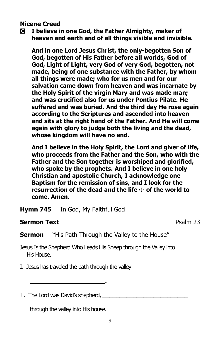#### **Nicene Creed**

C **I believe in one God, the Father Almighty, maker of heaven and earth and of all things visible and invisible.**

**And in one Lord Jesus Christ, the only-begotten Son of God, begotten of His Father before all worlds, God of God, Light of Light, very God of very God, begotten, not made, being of one substance with the Father, by whom all things were made; who for us men and for our salvation came down from heaven and was incarnate by the Holy Spirit of the virgin Mary and was made man; and was crucified also for us under Pontius Pilate. He suffered and was buried. And the third day He rose again according to the Scriptures and ascended into heaven and sits at the right hand of the Father. And He will come again with glory to judge both the living and the dead, whose kingdom will have no end.**

**And I believe in the Holy Spirit, the Lord and giver of life, who proceeds from the Father and the Son, who with the Father and the Son together is worshiped and glorified, who spoke by the prophets. And I believe in one holy Christian and apostolic Church, I acknowledge one Baptism for the remission of sins, and I look for the**  resurrection of the dead and the life  $\div$  of the world to **come. Amen.**

**Hymn 745** In God, My Faithful God

### **Sermon Text Psalm 23**

**Sermon** "His Path Through the Valley to the House"

Jesus Is the Shepherd Who Leads His Sheep through the Valley into His House.

- I. Jesus has traveled the path through the valley
- II. The Lord was David's shepherd,

through the valley into His house.

**\_\_\_\_\_\_\_\_\_\_\_\_\_\_\_\_\_\_\_\_\_\_.**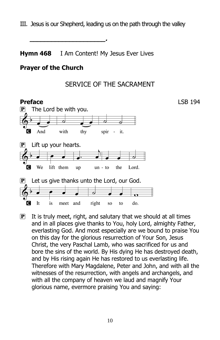III. Jesus is our Shepherd, leading us on the path through the valley

**Hymn 468** I Am Content! My Jesus Ever Lives

**\_\_\_\_\_\_\_\_\_\_\_\_\_\_\_\_\_\_\_\_\_.**

#### **Prayer of the Church**

# SERVICE OF THE SACRAMENT



 $\mathbf{P}$  It is truly meet, right, and salutary that we should at all times and in all places give thanks to You, holy Lord, almighty Father, everlasting God. And most especially are we bound to praise You on this day for the glorious resurrection of Your Son, Jesus Christ, the very Paschal Lamb, who was sacrificed for us and bore the sins of the world. By His dying He has destroyed death, and by His rising again He has restored to us everlasting life. Therefore with Mary Magdalene, Peter and John, and with all the witnesses of the resurrection, with angels and archangels, and with all the company of heaven we laud and magnify Your glorious name, evermore praising You and saying: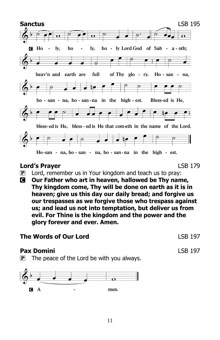

### **Lord's Prayer** LSB 179

- $\mathbf{P}$  Lord, remember us in Your kingdom and teach us to pray:
- C **Our Father who art in heaven, hallowed be Thy name, Thy kingdom come, Thy will be done on earth as it is in heaven; give us this day our daily bread; and forgive us our trespasses as we forgive those who trespass against us; and lead us not into temptation, but deliver us from evil. For Thine is the kingdom and the power and the glory forever and ever. Amen.**

# **The Words of Our Lord LSB 197**

### **Pax Domini** LSB 197

 $\mathbf{P}$  The peace of the Lord be with you always.

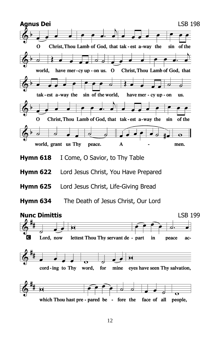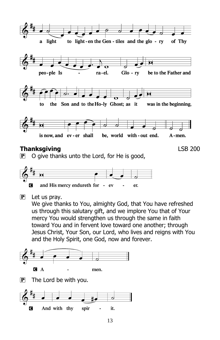

 $\overline{P}$  O give thanks unto the Lord, for He is good,



 $\left[ \mathbf{P} \right]$  Let us pray.

We give thanks to You, almighty God, that You have refreshed us through this salutary gift, and we implore You that of Your mercy You would strengthen us through the same in faith toward You and in fervent love toward one another; through Jesus Christ, Your Son, our Lord, who lives and reigns with You and the Holy Spirit, one God, now and forever.



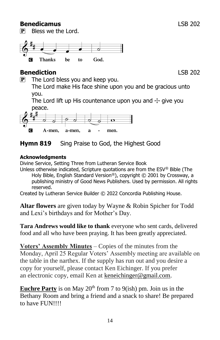### **Benedicamus** LSB 202

P Bless we the Lord.



# **Benediction** LSB 202

 $\mathbf{P}$  The Lord bless you and keep you.

The Lord make His face shine upon you and be gracious unto you.

The Lord lift up His countenance upon you and  $\pm$  give you peace.



# **Hymn 819** Sing Praise to God, the Highest Good

# **Acknowledgments**

Divine Service, Setting Three from Lutheran Service Book

Unless otherwise indicated, Scripture quotations are from the ESV® Bible (The Holy Bible, English Standard Version®), copyright © 2001 by Crossway, a publishing ministry of Good News Publishers. Used by permission. All rights reserved.

Created by Lutheran Service Builder © 2022 Concordia Publishing House.

**Altar flowers** are given today by Wayne & Robin Spicher for Todd and Lexi's birthdays and for Mother's Day.

**Tara Andrews would like to thank** everyone who sent cards, delivered food and all who have been praying. It has been greatly appreciated.

**Voters' Assembly Minutes** – Copies of the minutes from the Monday, April 25 Regular Voters' Assembly meeting are available on the table in the narthex. If the supply has run out and you desire a copy for yourself, please contact Ken Eichinger. If you prefer an electronic copy, email Ken at [keneichinger@gmail.com.](mailto:keneichinger@gmail.com)

**Euchre Party** is on May  $20<sup>th</sup>$  from 7 to 9(ish) pm. Join us in the Bethany Room and bring a friend and a snack to share! Be prepared to have FUN!!!!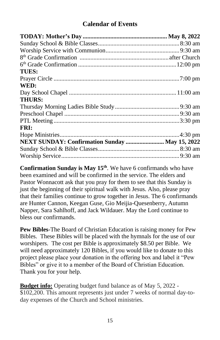# **Calendar of Events**

| <b>TUES:</b>                                   |  |
|------------------------------------------------|--|
|                                                |  |
| WED:                                           |  |
|                                                |  |
| <b>THURS:</b>                                  |  |
|                                                |  |
|                                                |  |
|                                                |  |
| FRI:                                           |  |
|                                                |  |
| NEXT SUNDAY: Confirmation Sunday  May 15, 2022 |  |
|                                                |  |
|                                                |  |

**Confirmation Sunday is May 15th**. We have 6 confirmands who have been examined and will be confirmed in the service. The elders and Pastor Wonnacott ask that you pray for them to see that this Sunday is just the beginning of their spiritual walk with Jesus. Also, please pray that their families continue to grow together in Jesus. The 6 confirmands are Hunter Cannon, Keegan Guse, Gio Meijia-Quesenberry, Autumn Napper, Sara Sahlhoff, and Jack Wildauer. May the Lord continue to bless our confirmands.

**Pew Bibles**-The Board of Christian Education is raising money for Pew Bibles. These Bibles will be placed with the hymnals for the use of our worshipers. The cost per Bible is approximately \$8.50 per Bible. We will need approximately 120 Bibles, if you would like to donate to this project please place your donation in the offering box and label it "Pew Bibles" or give it to a member of the Board of Christian Education. Thank you for your help.

**Budget info:** Operating budget fund balance as of May 5, 2022 - \$102,200. This amount represents just under 7 weeks of normal day-today expenses of the Church and School ministries.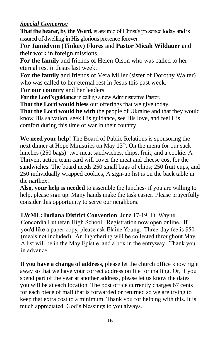# *Special Concerns:*

**That the hearer, by the Word,** is assured of Christ's presence today and is assured of dwelling in His glorious presence forever.

**For Jamielynn (Tinkey) Flores** and **Pastor Micah Wildauer** and their work in foreign missions.

**For the family** and friends of Helen Olson who was called to her eternal rest in Jesus last week.

**For the family** and friends of Vera Miller (sister of Dorothy Walter) who was called to her eternal rest in Jesus this past week.

**For our country** and her leaders.

**For the Lord's guidance** in calling a new Administrative Pastor.

**That the Lord would bless** our offerings that we give today.

**That the Lord would be with** the people of Ukraine and that they would know His salvation, seek His guidance, see His love, and feel His comfort during this time of war in their country.

**We need your help!** The Board of Public Relations is sponsoring the next dinner at Hope Ministries on May 13<sup>th</sup>. On the menu for our sack lunches (250 bags): two meat sandwiches, chips, fruit, and a cookie. A Thrivent action team card will cover the meat and cheese cost for the sandwiches. The board needs 250 small bags of chips; 250 fruit cups, and 250 individually wrapped cookies, A sign-up list is on the back table in the narthex.

**Also, your help is needed** to assemble the lunches- if you are willing to help, please sign up. Many hands make the task easier. Please prayerfully consider this opportunity to serve our neighbors.

**LWML: Indiana District Convention**, June 17-19, Ft. Wayne Concordia Lutheran High School. Registration now open online. If you'd like a paper copy, please ask Elaine Young. Three-day fee is \$50 (meals not included). An Ingathering will be collected throughout May. A list will be in the May Epistle, and a box in the entryway. Thank you in advance.

**If you have a change of address,** please let the church office know right away so that we have your correct address on file for mailing. Or, if you spend part of the year at another address, please let us know the dates you will be at each location. The post office currently charges 67 cents for each piece of mail that is forwarded or returned so we are trying to keep that extra cost to a minimum. Thank you for helping with this. It is much appreciated. God's blessings to you always.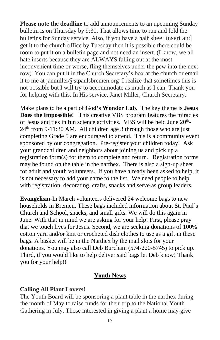**Please note the deadline** to add announcements to an upcoming Sunday bulletin is on Thursday by 9:30. That allows time to run and fold the bulletins for Sunday service. Also, if you have a half sheet insert and get it to the church office by Tuesday then it is possible there could be room to put it on a bulletin page and not need an insert. (I know, we all hate inserts because they are ALWAYS falling out at the most inconvenient time or worse, fling themselves under the pew into the next row). You can put it in the Church Secretary's box at the church or email it to me at janmiller@stpaulsbremen.org I realize that sometimes this is not possible but I will try to accommodate as much as I can. Thank you for helping with this. In His service, Janet Miller, Church Secretary.

Make plans to be a part of **God's Wonder Lab.** The key theme is **Jesus Does the Impossible!** This creative VBS program features the miracles of Jesus and ties in fun science activities. VBS will be held June  $20<sup>th</sup>$ - $24<sup>th</sup>$  from 9-11:30 AM. All children age 3 through those who are just completing Grade 5 are encouraged to attend. This is a community event sponsored by our congregation. Pre-register your children today! Ask your grandchildren and neighbors about joining us and pick up a registration form(s) for them to complete and return. Registration forms may be found on the table in the narthex. There is also a sign-up sheet for adult and youth volunteers. If you have already been asked to help, it is not necessary to add your name to the list. We need people to help with registration, decorating, crafts, snacks and serve as group leaders.

**Evangelism**-In March volunteers delivered 24 welcome bags to new households in Bremen. These bags included information about St. Paul's Church and School, snacks, and small gifts. We will do this again in June. With that in mind we are asking for your help! First, please pray that we touch lives for Jesus. Second, we are seeking donations of 100% cotton yarn and/or knit or crocheted dish clothes to use as a gift in these bags. A basket will be in the Narthex by the mail slots for your donations. You may also call Deb Burcham (574-220-5745) to pick up. Third, if you would like to help deliver said bags let Deb know! Thank you for your help!!

#### **Youth News**

#### **Calling All Plant Lovers!**

The Youth Board will be sponsoring a plant table in the narthex during the month of May to raise funds for their trip to the National Youth Gathering in July. Those interested in giving a plant a home may give